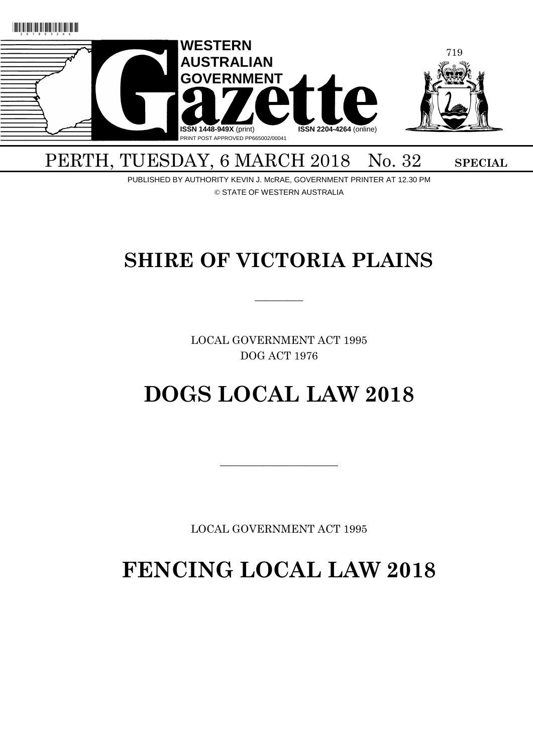

# PERTH, TUESDAY, 6 MARCH 2018 No. 32 SPECIAL

PUBLISHED BY AUTHORITY KEVIN J. McRAE, GOVERNMENT PRINTER AT 12.30 PM © STATE OF WESTERN AUSTRALIA

# **SHIRE OF VICTORIA PLAINS**

 $\overline{\phantom{a}}$ 

LOCAL GOVERNMENT ACT 1995 DOG ACT 1976

# **DOGS LOCAL LAW 2018**

LOCAL GOVERNMENT ACT 1995

 $\overline{\phantom{a}}$  , and the contract of the contract of the contract of the contract of the contract of the contract of the contract of the contract of the contract of the contract of the contract of the contract of the contrac

**FENCING LOCAL LAW 2018**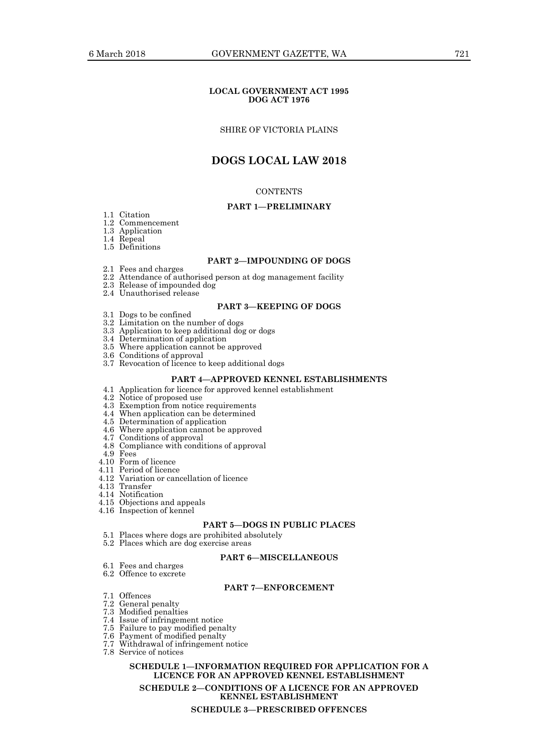#### **LOCAL GOVERNMENT ACT 1995 DOG ACT 1976**

#### SHIRE OF VICTORIA PLAINS

# **DOGS LOCAL LAW 2018**

#### **CONTENTS**

#### **PART 1—PRELIMINARY**

- 1.1 Citation
- 1.2 Commencement
- 1.3 Application
- 1.4 Repeal
- 1.5 Definitions

#### **PART 2—IMPOUNDING OF DOGS**

- 2.1 Fees and charges
- 2.2 Attendance of authorised person at dog management facility
- 2.3 Release of impounded dog
- 2.4 Unauthorised release

#### **PART 3—KEEPING OF DOGS**

- 3.1 Dogs to be confined
- 3.2 Limitation on the number of dogs
- 3.3 Application to keep additional dog or dogs
- 3.4 Determination of application
- 3.5 Where application cannot be approved
- 3.6 Conditions of approval
- 3.7 Revocation of licence to keep additional dogs

#### **PART 4—APPROVED KENNEL ESTABLISHMENTS**

- 4.1 Application for licence for approved kennel establishment
- 4.2 Notice of proposed use
- 4.3 Exemption from notice requirements
- 4.4 When application can be determined
- 4.5 Determination of application
- 4.6 Where application cannot be approved
- 4.7 Conditions of approval
- 4.8 Compliance with conditions of approval
- 4.9 Fees
- 4.10 Form of licence
- 4.11 Period of licence
- 4.12 Variation or cancellation of licence
- 4.13 Transfer
- 4.14 Notification
- 4.15 Objections and appeals
- 4.16 Inspection of kennel

### **PART 5—DOGS IN PUBLIC PLACES**

- 5.1 Places where dogs are prohibited absolutely
- 5.2 Places which are dog exercise areas

#### **PART 6—MISCELLANEOUS**

- 6.1 Fees and charges 6.2 Offence to excrete
- **PART 7—ENFORCEMENT**
- 7.1 Offences
- 7.2 General penalty
- 7.3 Modified penalties
- 7.4 Issue of infringement notice
- 7.5 Failure to pay modified penalty
- 7.6 Payment of modified penalty
- 7.7 Withdrawal of infringement notice
- 7.8 Service of notices

#### **SCHEDULE 1—INFORMATION REQUIRED FOR APPLICATION FOR A LICENCE FOR AN APPROVED KENNEL ESTABLISHMENT**

**SCHEDULE 2—CONDITIONS OF A LICENCE FOR AN APPROVED KENNEL ESTABLISHMENT**

**SCHEDULE 3—PRESCRIBED OFFENCES**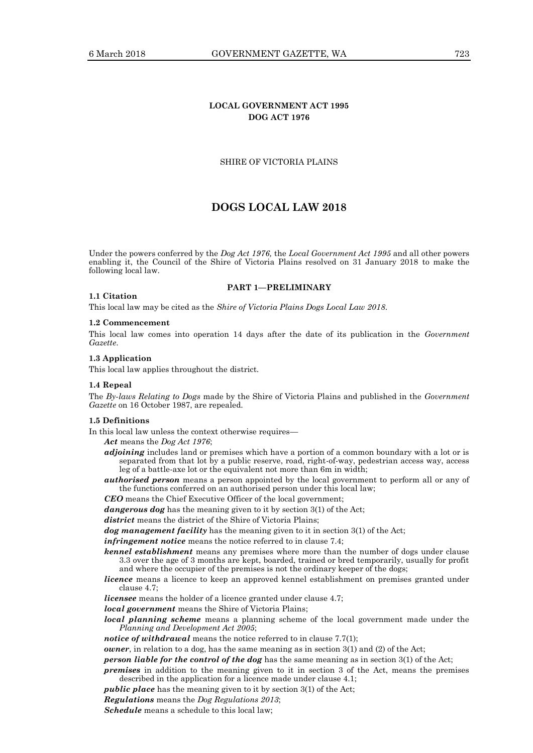# **LOCAL GOVERNMENT ACT 1995 DOG ACT 1976**

#### SHIRE OF VICTORIA PLAINS

# **DOGS LOCAL LAW 2018**

Under the powers conferred by the *Dog Act 1976,* the *Local Government Act 1995* and all other powers enabling it, the Council of the Shire of Victoria Plains resolved on 31 January 2018 to make the following local law.

#### **PART 1—PRELIMINARY**

#### **1.1 Citation**

This local law may be cited as the *Shire of Victoria Plains Dogs Local Law 2018*.

#### **1.2 Commencement**

This local law comes into operation 14 days after the date of its publication in the *Government Gazette*.

#### **1.3 Application**

This local law applies throughout the district.

#### **1.4 Repeal**

The *By-laws Relating to Dogs* made by the Shire of Victoria Plains and published in the *Government Gazette* on 16 October 1987, are repealed.

#### **1.5 Definitions**

In this local law unless the context otherwise requires—

*Act* means the *Dog Act 1976*;

- *adjoining* includes land or premises which have a portion of a common boundary with a lot or is separated from that lot by a public reserve, road, right-of-way, pedestrian access way, access leg of a battle-axe lot or the equivalent not more than 6m in width;
- *authorised person* means a person appointed by the local government to perform all or any of the functions conferred on an authorised person under this local law;

*CEO* means the Chief Executive Officer of the local government;

*dangerous dog* has the meaning given to it by section 3(1) of the Act;

*district* means the district of the Shire of Victoria Plains;

*dog management facility* has the meaning given to it in section 3(1) of the Act;

*infringement notice* means the notice referred to in clause 7.4;

- *kennel establishment* means any premises where more than the number of dogs under clause 3.3 over the age of 3 months are kept, boarded, trained or bred temporarily, usually for profit and where the occupier of the premises is not the ordinary keeper of the dogs;
- *licence* means a licence to keep an approved kennel establishment on premises granted under clause 4.7;

*licensee* means the holder of a licence granted under clause 4.7;

- *local government* means the Shire of Victoria Plains;
- *local planning scheme* means a planning scheme of the local government made under the *Planning and Development Act 2005*;

*notice of withdrawal* means the notice referred to in clause 7.7(1);

*owner*, in relation to a dog, has the same meaning as in section 3(1) and (2) of the Act;

*person liable for the control of the dog* has the same meaning as in section 3(1) of the Act;

*premises* in addition to the meaning given to it in section 3 of the Act, means the premises described in the application for a licence made under clause 4.1;

*public place* has the meaning given to it by section 3(1) of the Act;

*Regulations* means the *Dog Regulations 2013*;

*Schedule* means a schedule to this local law;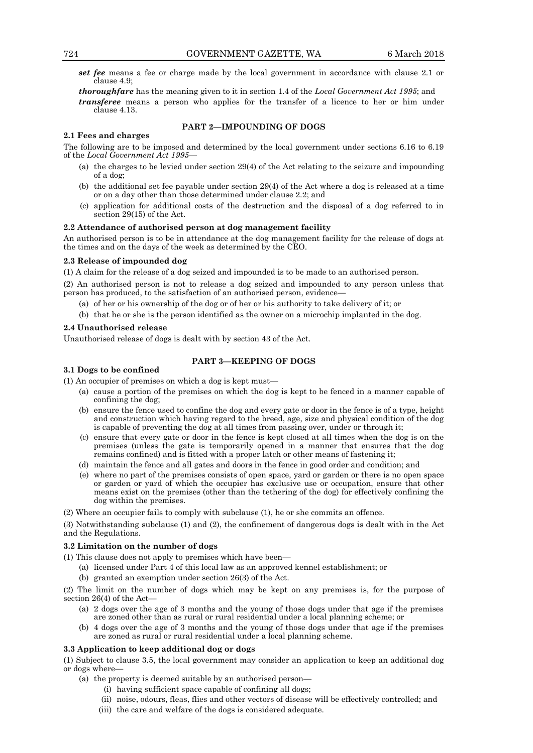*set fee* means a fee or charge made by the local government in accordance with clause 2.1 or clause 4.9;

*thoroughfare* has the meaning given to it in section 1.4 of the *Local Government Act 1995*; and *transferee* means a person who applies for the transfer of a licence to her or him under clause 4.13.

#### **PART 2—IMPOUNDING OF DOGS**

The following are to be imposed and determined by the local government under sections 6.16 to 6.19 of the *Local Government Act 1995*—

- (a) the charges to be levied under section 29(4) of the Act relating to the seizure and impounding of a dog;
- (b) the additional set fee payable under section 29(4) of the Act where a dog is released at a time or on a day other than those determined under clause 2.2; and
- (c) application for additional costs of the destruction and the disposal of a dog referred to in section 29(15) of the Act.

#### **2.2 Attendance of authorised person at dog management facility**

An authorised person is to be in attendance at the dog management facility for the release of dogs at the times and on the days of the week as determined by the CEO.

#### **2.3 Release of impounded dog**

**2.1 Fees and charges**

(1) A claim for the release of a dog seized and impounded is to be made to an authorised person.

(2) An authorised person is not to release a dog seized and impounded to any person unless that person has produced, to the satisfaction of an authorised person, evidence—

- (a) of her or his ownership of the dog or of her or his authority to take delivery of it; or
- (b) that he or she is the person identified as the owner on a microchip implanted in the dog.

#### **2.4 Unauthorised release**

Unauthorised release of dogs is dealt with by section 43 of the Act.

#### **PART 3—KEEPING OF DOGS**

#### **3.1 Dogs to be confined**

(1) An occupier of premises on which a dog is kept must—

- (a) cause a portion of the premises on which the dog is kept to be fenced in a manner capable of confining the dog;
- (b) ensure the fence used to confine the dog and every gate or door in the fence is of a type, height and construction which having regard to the breed, age, size and physical condition of the dog is capable of preventing the dog at all times from passing over, under or through it;
- (c) ensure that every gate or door in the fence is kept closed at all times when the dog is on the premises (unless the gate is temporarily opened in a manner that ensures that the dog remains confined) and is fitted with a proper latch or other means of fastening it;
- (d) maintain the fence and all gates and doors in the fence in good order and condition; and
- (e) where no part of the premises consists of open space, yard or garden or there is no open space or garden or yard of which the occupier has exclusive use or occupation, ensure that other means exist on the premises (other than the tethering of the dog) for effectively confining the dog within the premises.
- (2) Where an occupier fails to comply with subclause (1), he or she commits an offence.

(3) Notwithstanding subclause (1) and (2), the confinement of dangerous dogs is dealt with in the Act and the Regulations.

#### **3.2 Limitation on the number of dogs**

(1) This clause does not apply to premises which have been—

- (a) licensed under Part 4 of this local law as an approved kennel establishment; or
- (b) granted an exemption under section 26(3) of the Act.

(2) The limit on the number of dogs which may be kept on any premises is, for the purpose of section 26(4) of the Act—

- (a) 2 dogs over the age of 3 months and the young of those dogs under that age if the premises are zoned other than as rural or rural residential under a local planning scheme; or
- (b) 4 dogs over the age of 3 months and the young of those dogs under that age if the premises are zoned as rural or rural residential under a local planning scheme.

### **3.3 Application to keep additional dog or dogs**

(1) Subject to clause 3.5, the local government may consider an application to keep an additional dog or dogs where—

- (a) the property is deemed suitable by an authorised person—
	- (i) having sufficient space capable of confining all dogs;
	- (ii) noise, odours, fleas, flies and other vectors of disease will be effectively controlled; and
	- (iii) the care and welfare of the dogs is considered adequate.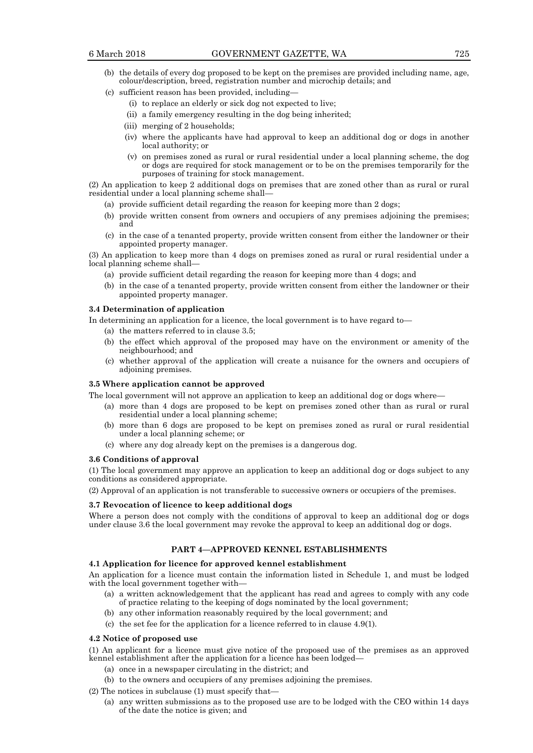- (b) the details of every dog proposed to be kept on the premises are provided including name, age, colour/description, breed, registration number and microchip details; and
- (c) sufficient reason has been provided, including—
	- (i) to replace an elderly or sick dog not expected to live;
	- (ii) a family emergency resulting in the dog being inherited;
	- (iii) merging of 2 households;
	- (iv) where the applicants have had approval to keep an additional dog or dogs in another local authority; or
	- (v) on premises zoned as rural or rural residential under a local planning scheme, the dog or dogs are required for stock management or to be on the premises temporarily for the purposes of training for stock management.

(2) An application to keep 2 additional dogs on premises that are zoned other than as rural or rural residential under a local planning scheme shall—

- (a) provide sufficient detail regarding the reason for keeping more than 2 dogs;
- (b) provide written consent from owners and occupiers of any premises adjoining the premises; and
- (c) in the case of a tenanted property, provide written consent from either the landowner or their appointed property manager.

(3) An application to keep more than 4 dogs on premises zoned as rural or rural residential under a local planning scheme shall—

- (a) provide sufficient detail regarding the reason for keeping more than 4 dogs; and
- (b) in the case of a tenanted property, provide written consent from either the landowner or their appointed property manager.

#### **3.4 Determination of application**

In determining an application for a licence, the local government is to have regard to—

- (a) the matters referred to in clause 3.5;
- (b) the effect which approval of the proposed may have on the environment or amenity of the neighbourhood; and
- (c) whether approval of the application will create a nuisance for the owners and occupiers of adjoining premises.

#### **3.5 Where application cannot be approved**

The local government will not approve an application to keep an additional dog or dogs where—

- (a) more than 4 dogs are proposed to be kept on premises zoned other than as rural or rural residential under a local planning scheme;
- (b) more than 6 dogs are proposed to be kept on premises zoned as rural or rural residential under a local planning scheme; or
- (c) where any dog already kept on the premises is a dangerous dog.

#### **3.6 Conditions of approval**

(1) The local government may approve an application to keep an additional dog or dogs subject to any conditions as considered appropriate.

(2) Approval of an application is not transferable to successive owners or occupiers of the premises.

#### **3.7 Revocation of licence to keep additional dogs**

Where a person does not comply with the conditions of approval to keep an additional dog or dogs under clause 3.6 the local government may revoke the approval to keep an additional dog or dogs.

#### **PART 4—APPROVED KENNEL ESTABLISHMENTS**

#### **4.1 Application for licence for approved kennel establishment**

An application for a licence must contain the information listed in Schedule 1, and must be lodged with the local government together with—

- (a) a written acknowledgement that the applicant has read and agrees to comply with any code of practice relating to the keeping of dogs nominated by the local government;
- (b) any other information reasonably required by the local government; and
- (c) the set fee for the application for a licence referred to in clause 4.9(1).

#### **4.2 Notice of proposed use**

(1) An applicant for a licence must give notice of the proposed use of the premises as an approved kennel establishment after the application for a licence has been lodged—

- (a) once in a newspaper circulating in the district; and
- (b) to the owners and occupiers of any premises adjoining the premises.
- (2) The notices in subclause (1) must specify that—
	- (a) any written submissions as to the proposed use are to be lodged with the CEO within 14 days of the date the notice is given; and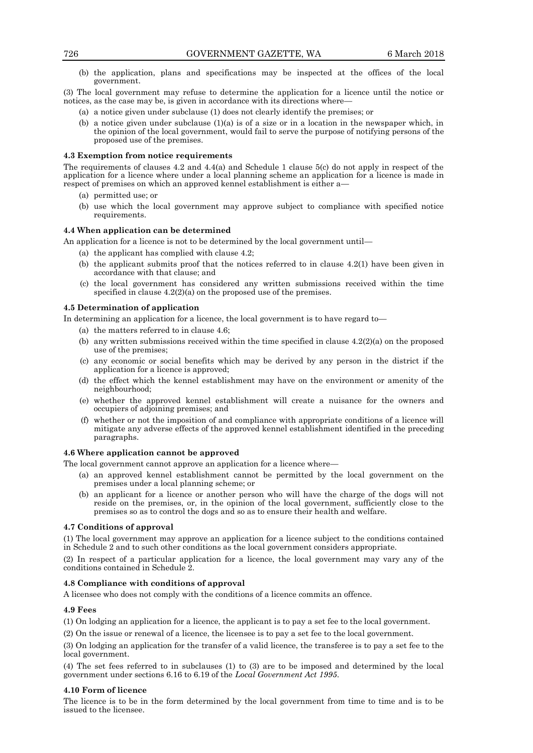(b) the application, plans and specifications may be inspected at the offices of the local government.

(3) The local government may refuse to determine the application for a licence until the notice or notices, as the case may be, is given in accordance with its directions where—

- (a) a notice given under subclause (1) does not clearly identify the premises; or
- (b) a notice given under subclause  $(1)(a)$  is of a size or in a location in the newspaper which, in the opinion of the local government, would fail to serve the purpose of notifying persons of the proposed use of the premises.

#### **4.3 Exemption from notice requirements**

The requirements of clauses 4.2 and 4.4(a) and Schedule 1 clause 5(c) do not apply in respect of the application for a licence where under a local planning scheme an application for a licence is made in respect of premises on which an approved kennel establishment is either a—

- (a) permitted use; or
- (b) use which the local government may approve subject to compliance with specified notice requirements.

#### **4.4 When application can be determined**

An application for a licence is not to be determined by the local government until—

- (a) the applicant has complied with clause 4.2;
- (b) the applicant submits proof that the notices referred to in clause 4.2(1) have been given in accordance with that clause; and
- (c) the local government has considered any written submissions received within the time specified in clause 4.2(2)(a) on the proposed use of the premises.

#### **4.5 Determination of application**

In determining an application for a licence, the local government is to have regard to

- (a) the matters referred to in clause 4.6;
- (b) any written submissions received within the time specified in clause  $4.2(2)(a)$  on the proposed use of the premises;
- (c) any economic or social benefits which may be derived by any person in the district if the application for a licence is approved;
- (d) the effect which the kennel establishment may have on the environment or amenity of the neighbourhood;
- (e) whether the approved kennel establishment will create a nuisance for the owners and occupiers of adjoining premises; and
- (f) whether or not the imposition of and compliance with appropriate conditions of a licence will mitigate any adverse effects of the approved kennel establishment identified in the preceding paragraphs.

#### **4.6 Where application cannot be approved**

The local government cannot approve an application for a licence where—

- (a) an approved kennel establishment cannot be permitted by the local government on the premises under a local planning scheme; or
- (b) an applicant for a licence or another person who will have the charge of the dogs will not reside on the premises, or, in the opinion of the local government, sufficiently close to the premises so as to control the dogs and so as to ensure their health and welfare.

#### **4.7 Conditions of approval**

(1) The local government may approve an application for a licence subject to the conditions contained in Schedule 2 and to such other conditions as the local government considers appropriate.

(2) In respect of a particular application for a licence, the local government may vary any of the conditions contained in Schedule 2.

#### **4.8 Compliance with conditions of approval**

A licensee who does not comply with the conditions of a licence commits an offence.

#### **4.9 Fees**

(1) On lodging an application for a licence, the applicant is to pay a set fee to the local government.

(2) On the issue or renewal of a licence, the licensee is to pay a set fee to the local government.

(3) On lodging an application for the transfer of a valid licence, the transferee is to pay a set fee to the local government.

(4) The set fees referred to in subclauses (1) to (3) are to be imposed and determined by the local government under sections 6.16 to 6.19 of the *Local Government Act 1995*.

#### **4.10 Form of licence**

The licence is to be in the form determined by the local government from time to time and is to be issued to the licensee.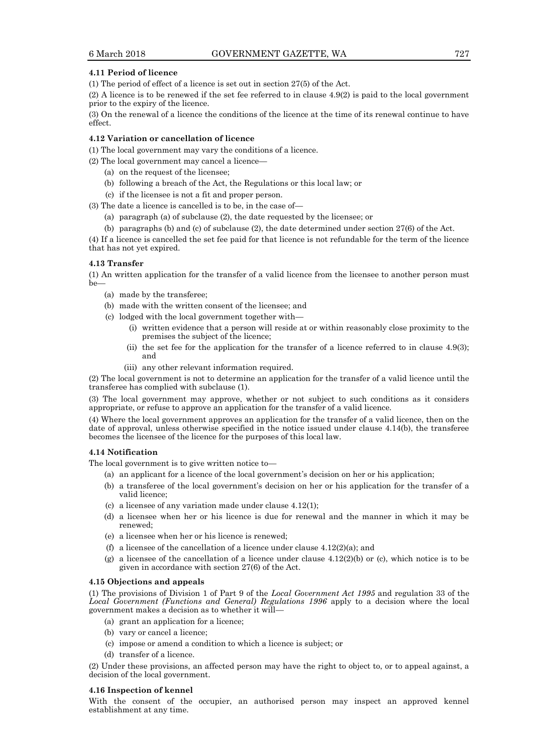#### **4.11 Period of licence**

(1) The period of effect of a licence is set out in section 27(5) of the Act.

(2) A licence is to be renewed if the set fee referred to in clause 4.9(2) is paid to the local government prior to the expiry of the licence.

(3) On the renewal of a licence the conditions of the licence at the time of its renewal continue to have effect.

#### **4.12 Variation or cancellation of licence**

(1) The local government may vary the conditions of a licence.

(2) The local government may cancel a licence—

- (a) on the request of the licensee;
- (b) following a breach of the Act, the Regulations or this local law; or
- (c) if the licensee is not a fit and proper person.

(3) The date a licence is cancelled is to be, in the case of—

- (a) paragraph (a) of subclause (2), the date requested by the licensee; or
- (b) paragraphs (b) and (c) of subclause (2), the date determined under section 27(6) of the Act.

(4) If a licence is cancelled the set fee paid for that licence is not refundable for the term of the licence that has not yet expired.

#### **4.13 Transfer**

(1) An written application for the transfer of a valid licence from the licensee to another person must be—

- (a) made by the transferee;
- (b) made with the written consent of the licensee; and
- (c) lodged with the local government together with—
	- (i) written evidence that a person will reside at or within reasonably close proximity to the premises the subject of the licence;
	- (ii) the set fee for the application for the transfer of a licence referred to in clause 4.9(3); and
	- (iii) any other relevant information required.

(2) The local government is not to determine an application for the transfer of a valid licence until the transferee has complied with subclause (1).

(3) The local government may approve, whether or not subject to such conditions as it considers appropriate, or refuse to approve an application for the transfer of a valid licence.

(4) Where the local government approves an application for the transfer of a valid licence, then on the date of approval, unless otherwise specified in the notice issued under clause 4.14(b), the transferee becomes the licensee of the licence for the purposes of this local law.

#### **4.14 Notification**

The local government is to give written notice to—

- (a) an applicant for a licence of the local government's decision on her or his application;
- (b) a transferee of the local government's decision on her or his application for the transfer of a valid licence;
- (c) a licensee of any variation made under clause 4.12(1);
- (d) a licensee when her or his licence is due for renewal and the manner in which it may be renewed;
- (e) a licensee when her or his licence is renewed;
- (f) a licensee of the cancellation of a licence under clause  $4.12(2)(a)$ ; and
- (g) a licensee of the cancellation of a licence under clause  $4.12(2)(b)$  or (c), which notice is to be given in accordance with section 27(6) of the Act.

#### **4.15 Objections and appeals**

(1) The provisions of Division 1 of Part 9 of the *Local Government Act 1995* and regulation 33 of the *Local Government (Functions and General) Regulations 1996* apply to a decision where the local government makes a decision as to whether it will—

- (a) grant an application for a licence;
- (b) vary or cancel a licence;
- (c) impose or amend a condition to which a licence is subject; or
- (d) transfer of a licence.

(2) Under these provisions, an affected person may have the right to object to, or to appeal against, a decision of the local government.

#### **4.16 Inspection of kennel**

With the consent of the occupier, an authorised person may inspect an approved kennel establishment at any time.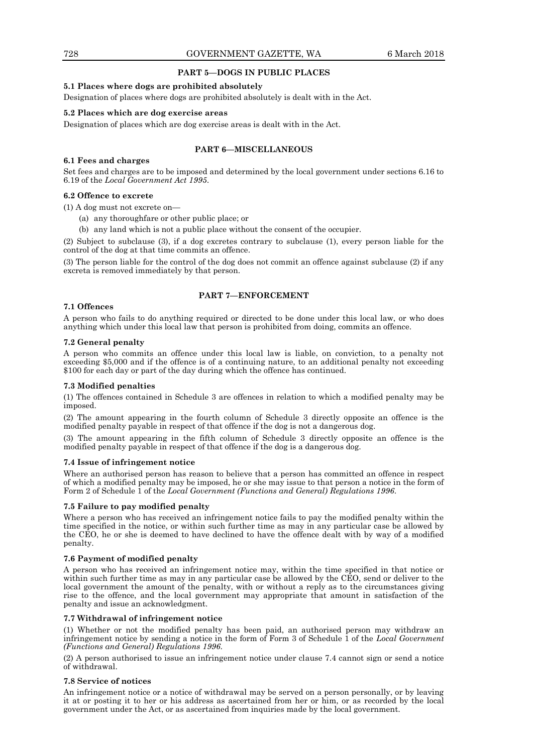#### **PART 5—DOGS IN PUBLIC PLACES**

#### **5.1 Places where dogs are prohibited absolutely**

Designation of places where dogs are prohibited absolutely is dealt with in the Act.

#### **5.2 Places which are dog exercise areas**

Designation of places which are dog exercise areas is dealt with in the Act.

#### **PART 6—MISCELLANEOUS**

#### **6.1 Fees and charges**

Set fees and charges are to be imposed and determined by the local government under sections 6.16 to 6.19 of the *Local Government Act 1995*.

#### **6.2 Offence to excrete**

(1) A dog must not excrete on—

- (a) any thoroughfare or other public place; or
- (b) any land which is not a public place without the consent of the occupier.

(2) Subject to subclause (3), if a dog excretes contrary to subclause (1), every person liable for the control of the dog at that time commits an offence.

(3) The person liable for the control of the dog does not commit an offence against subclause (2) if any excreta is removed immediately by that person.

#### **PART 7—ENFORCEMENT**

#### **7.1 Offences**

A person who fails to do anything required or directed to be done under this local law, or who does anything which under this local law that person is prohibited from doing, commits an offence.

#### **7.2 General penalty**

A person who commits an offence under this local law is liable, on conviction, to a penalty not exceeding \$5,000 and if the offence is of a continuing nature, to an additional penalty not exceeding \$100 for each day or part of the day during which the offence has continued.

#### **7.3 Modified penalties**

(1) The offences contained in Schedule 3 are offences in relation to which a modified penalty may be imposed.

(2) The amount appearing in the fourth column of Schedule 3 directly opposite an offence is the modified penalty payable in respect of that offence if the dog is not a dangerous dog.

(3) The amount appearing in the fifth column of Schedule 3 directly opposite an offence is the modified penalty payable in respect of that offence if the dog is a dangerous dog.

#### **7.4 Issue of infringement notice**

Where an authorised person has reason to believe that a person has committed an offence in respect of which a modified penalty may be imposed, he or she may issue to that person a notice in the form of Form 2 of Schedule 1 of the *Local Government (Functions and General) Regulations 1996*.

#### **7.5 Failure to pay modified penalty**

Where a person who has received an infringement notice fails to pay the modified penalty within the time specified in the notice, or within such further time as may in any particular case be allowed by the CEO, he or she is deemed to have declined to have the offence dealt with by way of a modified penalty.

#### **7.6 Payment of modified penalty**

A person who has received an infringement notice may, within the time specified in that notice or within such further time as may in any particular case be allowed by the CEO, send or deliver to the local government the amount of the penalty, with or without a reply as to the circumstances giving rise to the offence, and the local government may appropriate that amount in satisfaction of the penalty and issue an acknowledgment.

#### **7.7 Withdrawal of infringement notice**

(1) Whether or not the modified penalty has been paid, an authorised person may withdraw an infringement notice by sending a notice in the form of Form 3 of Schedule 1 of the *Local Government (Functions and General) Regulations 1996*.

(2) A person authorised to issue an infringement notice under clause 7.4 cannot sign or send a notice of withdrawal.

#### **7.8 Service of notices**

An infringement notice or a notice of withdrawal may be served on a person personally, or by leaving it at or posting it to her or his address as ascertained from her or him, or as recorded by the local government under the Act, or as ascertained from inquiries made by the local government.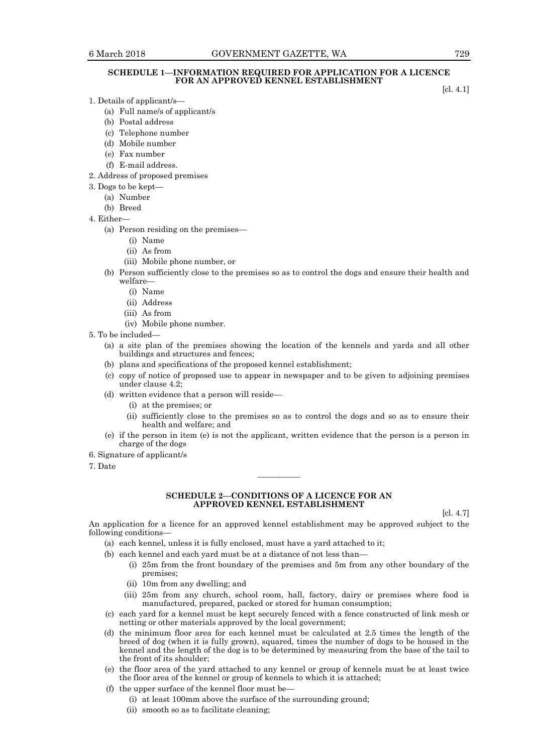#### **SCHEDULE 1—INFORMATION REQUIRED FOR APPLICATION FOR A LICENCE FOR AN APPROVED KENNEL ESTABLISHMENT**

[cl. 4.1]

- 1. Details of applicant/s—
	- (a) Full name/s of applicant/s
	- (b) Postal address
	- (c) Telephone number
	- (d) Mobile number
	- (e) Fax number
	- (f) E-mail address.
- 2. Address of proposed premises
- 3. Dogs to be kept—
	- (a) Number
	- (b) Breed
- 4. Either—
	- (a) Person residing on the premises—
		- (i) Name
		- (ii) As from
		- (iii) Mobile phone number, or
	- (b) Person sufficiently close to the premises so as to control the dogs and ensure their health and welfare—
		- (i) Name
		- (ii) Address
		- (iii) As from
		- (iv) Mobile phone number.
- 5. To be included—
	- (a) a site plan of the premises showing the location of the kennels and yards and all other buildings and structures and fences;
	- (b) plans and specifications of the proposed kennel establishment;
	- (c) copy of notice of proposed use to appear in newspaper and to be given to adjoining premises under clause 4.2;
	- (d) written evidence that a person will reside—
		- (i) at the premises; or
		- (ii) sufficiently close to the premises so as to control the dogs and so as to ensure their health and welfare; and
	- (e) if the person in item (e) is not the applicant, written evidence that the person is a person in charge of the dogs
- 6. Signature of applicant/s
- 7. Date

#### **SCHEDULE 2—CONDITIONS OF A LICENCE FOR AN APPROVED KENNEL ESTABLISHMENT**

————

[cl. 4.7]

An application for a licence for an approved kennel establishment may be approved subject to the following conditions—

(a) each kennel, unless it is fully enclosed, must have a yard attached to it;

- (b) each kennel and each yard must be at a distance of not less than—
	- (i) 25m from the front boundary of the premises and 5m from any other boundary of the premises;
	- (ii) 10m from any dwelling; and
	- (iii) 25m from any church, school room, hall, factory, dairy or premises where food is manufactured, prepared, packed or stored for human consumption;
- (c) each yard for a kennel must be kept securely fenced with a fence constructed of link mesh or netting or other materials approved by the local government;
- (d) the minimum floor area for each kennel must be calculated at 2.5 times the length of the breed of dog (when it is fully grown), squared, times the number of dogs to be housed in the kennel and the length of the dog is to be determined by measuring from the base of the tail to the front of its shoulder;
- (e) the floor area of the yard attached to any kennel or group of kennels must be at least twice the floor area of the kennel or group of kennels to which it is attached;
- (f) the upper surface of the kennel floor must be—
	- (i) at least 100mm above the surface of the surrounding ground;
	- (ii) smooth so as to facilitate cleaning;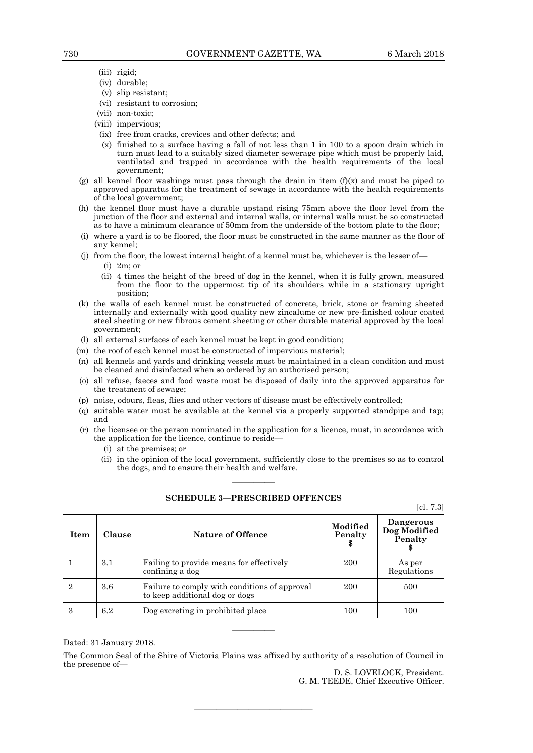- (iii) rigid;
- (iv) durable;
- (v) slip resistant;
- (vi) resistant to corrosion;
- (vii) non-toxic;
- (viii) impervious;
- (ix) free from cracks, crevices and other defects; and
- (x) finished to a surface having a fall of not less than 1 in 100 to a spoon drain which in turn must lead to a suitably sized diameter sewerage pipe which must be properly laid, ventilated and trapped in accordance with the health requirements of the local government;
- (g) all kennel floor washings must pass through the drain in item  $(f)(x)$  and must be piped to approved apparatus for the treatment of sewage in accordance with the health requirements of the local government;
- (h) the kennel floor must have a durable upstand rising 75mm above the floor level from the junction of the floor and external and internal walls, or internal walls must be so constructed as to have a minimum clearance of 50mm from the underside of the bottom plate to the floor;
- (i) where a yard is to be floored, the floor must be constructed in the same manner as the floor of any kennel;
- (j) from the floor, the lowest internal height of a kennel must be, whichever is the lesser of— (i) 2m; or
	- (ii) 4 times the height of the breed of dog in the kennel, when it is fully grown, measured from the floor to the uppermost tip of its shoulders while in a stationary upright position;
- (k) the walls of each kennel must be constructed of concrete, brick, stone or framing sheeted internally and externally with good quality new zincalume or new pre-finished colour coated steel sheeting or new fibrous cement sheeting or other durable material approved by the local government;
- (l) all external surfaces of each kennel must be kept in good condition;
- (m) the roof of each kennel must be constructed of impervious material;
- (n) all kennels and yards and drinking vessels must be maintained in a clean condition and must be cleaned and disinfected when so ordered by an authorised person;
- (o) all refuse, faeces and food waste must be disposed of daily into the approved apparatus for the treatment of sewage;
- (p) noise, odours, fleas, flies and other vectors of disease must be effectively controlled;
- (q) suitable water must be available at the kennel via a properly supported standpipe and tap; and
- (r) the licensee or the person nominated in the application for a licence, must, in accordance with the application for the licence, continue to reside—
	- (i) at the premises; or
	- (ii) in the opinion of the local government, sufficiently close to the premises so as to control the dogs, and to ensure their health and welfare.

| <b>Item</b> | <b>Clause</b> | <b>Nature of Offence</b>                                                        | Modified<br>Penalty | Dangerous<br>Dog Modified<br>Penalty |
|-------------|---------------|---------------------------------------------------------------------------------|---------------------|--------------------------------------|
|             | 3.1           | Failing to provide means for effectively<br>confining a dog                     | 200                 | As per<br>Regulations                |
|             | 3.6           | Failure to comply with conditions of approval<br>to keep additional dog or dogs | 200                 | 500                                  |
| 3           | 6.2           | Dog excreting in prohibited place                                               | 100                 | 100                                  |

# ———— **SCHEDULE 3—PRESCRIBED OFFENCES**

[cl. 7.3]

Dated: 31 January 2018.

The Common Seal of the Shire of Victoria Plains was affixed by authority of a resolution of Council in the presence of—

————————————————————

————

D. S. LOVELOCK, President. G. M. TEEDE, Chief Executive Officer.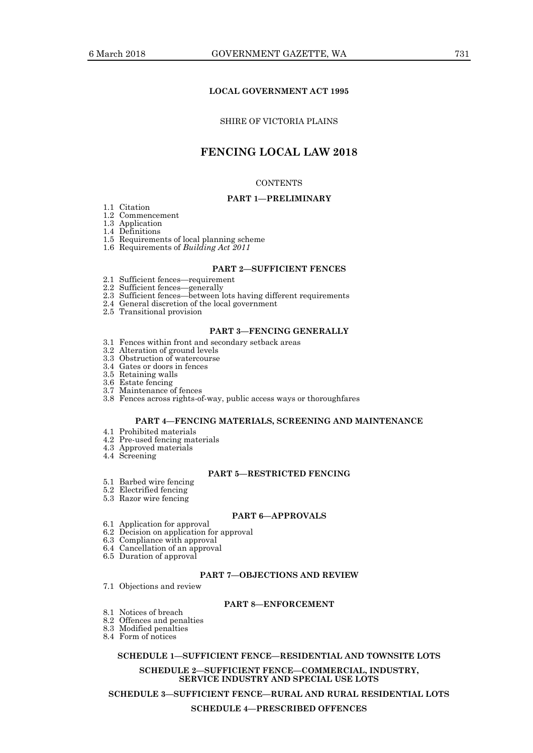#### **LOCAL GOVERNMENT ACT 1995**

#### SHIRE OF VICTORIA PLAINS

# **FENCING LOCAL LAW 2018**

#### **CONTENTS**

#### **PART 1—PRELIMINARY**

- 1.1 Citation
- 1.2 Commencement 1.3 Application
- 1.4 Definitions
- 
- 1.5 Requirements of local planning scheme
- 1.6 Requirements of *Building Act 2011*

### **PART 2—SUFFICIENT FENCES**

- 2.1 Sufficient fences—requirement
- 2.2 Sufficient fences—generally
- 2.3 Sufficient fences—between lots having different requirements
- 2.4 General discretion of the local government
- 2.5 Transitional provision

#### **PART 3—FENCING GENERALLY**

- 3.1 Fences within front and secondary setback areas
- 3.2 Alteration of ground levels
- 3.3 Obstruction of watercourse
- 3.4 Gates or doors in fences
- 3.5 Retaining walls
- 3.6 Estate fencing
- 3.7 Maintenance of fences
- 3.8 Fences across rights-of-way, public access ways or thoroughfares

#### **PART 4—FENCING MATERIALS, SCREENING AND MAINTENANCE**

- 4.1 Prohibited materials
- 4.2 Pre-used fencing materials
- 4.3 Approved materials
- 4.4 Screening

#### **PART 5—RESTRICTED FENCING**

- 5.1 Barbed wire fencing
- 5.2 Electrified fencing
- 5.3 Razor wire fencing

#### **PART 6—APPROVALS**

- 6.1 Application for approval
- 6.2 Decision on application for approval
- 6.3 Compliance with approval
- 6.4 Cancellation of an approval
- 6.5 Duration of approval

#### **PART 7—OBJECTIONS AND REVIEW**

7.1 Objections and review

#### **PART 8—ENFORCEMENT**

- 8.1 Notices of breach
- 8.2 Offences and penalties
- 8.3 Modified penalties
- 8.4 Form of notices

#### **SCHEDULE 1—SUFFICIENT FENCE—RESIDENTIAL AND TOWNSITE LOTS**

**SCHEDULE 2—SUFFICIENT FENCE—COMMERCIAL, INDUSTRY, SERVICE INDUSTRY AND SPECIAL USE LOTS**

**SCHEDULE 3—SUFFICIENT FENCE—RURAL AND RURAL RESIDENTIAL LOTS**

#### **SCHEDULE 4—PRESCRIBED OFFENCES**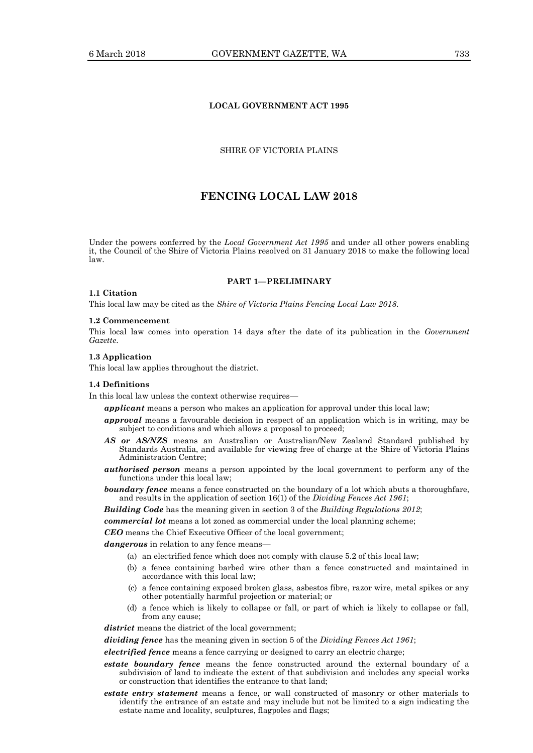### **LOCAL GOVERNMENT ACT 1995**

#### SHIRE OF VICTORIA PLAINS

# **FENCING LOCAL LAW 2018**

Under the powers conferred by the *Local Government Act 1995* and under all other powers enabling it, the Council of the Shire of Victoria Plains resolved on 31 January 2018 to make the following local law.

#### **PART 1—PRELIMINARY**

#### **1.1 Citation**

This local law may be cited as the *Shire of Victoria Plains Fencing Local Law 2018*.

#### **1.2 Commencement**

This local law comes into operation 14 days after the date of its publication in the *Government Gazette*.

#### **1.3 Application**

This local law applies throughout the district.

#### **1.4 Definitions**

In this local law unless the context otherwise requires—

*applicant* means a person who makes an application for approval under this local law;

- *approval* means a favourable decision in respect of an application which is in writing, may be subject to conditions and which allows a proposal to proceed;
- *AS or AS/NZS* means an Australian or Australian/New Zealand Standard published by Standards Australia, and available for viewing free of charge at the Shire of Victoria Plains Administration Centre;
- *authorised person* means a person appointed by the local government to perform any of the functions under this local law;
- **boundary fence** means a fence constructed on the boundary of a lot which abuts a thoroughfare, and results in the application of section 16(1) of the *Dividing Fences Act 1961*;

*Building Code* has the meaning given in section 3 of the *Building Regulations 2012*;

*commercial lot* means a lot zoned as commercial under the local planning scheme;

*CEO* means the Chief Executive Officer of the local government;

*dangerous* in relation to any fence means—

- (a) an electrified fence which does not comply with clause 5.2 of this local law;
- (b) a fence containing barbed wire other than a fence constructed and maintained in accordance with this local law;
- (c) a fence containing exposed broken glass, asbestos fibre, razor wire, metal spikes or any other potentially harmful projection or material; or
- (d) a fence which is likely to collapse or fall, or part of which is likely to collapse or fall, from any cause;

*district* means the district of the local government;

*dividing fence* has the meaning given in section 5 of the *Dividing Fences Act 1961*;

*electrified fence* means a fence carrying or designed to carry an electric charge;

- *estate boundary fence* means the fence constructed around the external boundary of a subdivision of land to indicate the extent of that subdivision and includes any special works or construction that identifies the entrance to that land;
- *estate entry statement* means a fence, or wall constructed of masonry or other materials to identify the entrance of an estate and may include but not be limited to a sign indicating the estate name and locality, sculptures, flagpoles and flags;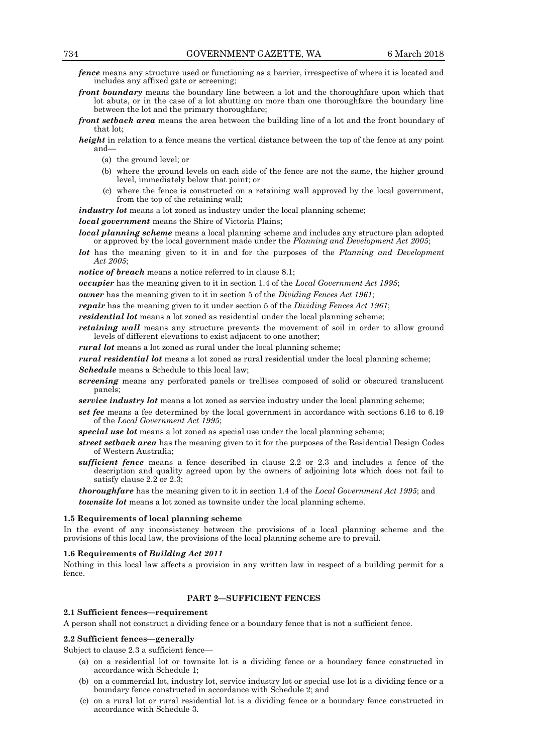- *fence* means any structure used or functioning as a barrier, irrespective of where it is located and includes any affixed gate or screening;
- *front boundary* means the boundary line between a lot and the thoroughfare upon which that lot abuts, or in the case of a lot abutting on more than one thoroughfare the boundary line between the lot and the primary thoroughfare;
- *front setback area* means the area between the building line of a lot and the front boundary of that lot;
- *height* in relation to a fence means the vertical distance between the top of the fence at any point and—
	- (a) the ground level; or
	- (b) where the ground levels on each side of the fence are not the same, the higher ground level, immediately below that point; or
	- (c) where the fence is constructed on a retaining wall approved by the local government, from the top of the retaining wall;

industry lot means a lot zoned as industry under the local planning scheme; *local government* means the Shire of Victoria Plains;

- *local planning scheme* means a local planning scheme and includes any structure plan adopted or approved by the local government made under the *Planning and Development Act 2005*;
- *lot* has the meaning given to it in and for the purposes of the *Planning and Development Act 2005*;
- *notice of breach* means a notice referred to in clause 8.1;

*occupier* has the meaning given to it in section 1.4 of the *Local Government Act 1995*;

*owner* has the meaning given to it in section 5 of the *Dividing Fences Act 1961*;

- *repair* has the meaning given to it under section 5 of the *Dividing Fences Act 1961*;
- *residential lot* means a lot zoned as residential under the local planning scheme;

*retaining wall* means any structure prevents the movement of soil in order to allow ground levels of different elevations to exist adjacent to one another;

*rural lot* means a lot zoned as rural under the local planning scheme;

*rural residential lot* means a lot zoned as rural residential under the local planning scheme; *Schedule* means a Schedule to this local law;

- *screening* means any perforated panels or trellises composed of solid or obscured translucent panels;
- *service industry lot* means a lot zoned as service industry under the local planning scheme;
- *set fee* means a fee determined by the local government in accordance with sections 6.16 to 6.19 of the *Local Government Act 1995*;
- *special use lot* means a lot zoned as special use under the local planning scheme;
- *street setback area* has the meaning given to it for the purposes of the Residential Design Codes of Western Australia;
- *sufficient fence* means a fence described in clause 2.2 or 2.3 and includes a fence of the description and quality agreed upon by the owners of adjoining lots which does not fail to satisfy clause 2.2 or 2.3;

*thoroughfare* has the meaning given to it in section 1.4 of the *Local Government Act 1995*; and *townsite lot* means a lot zoned as townsite under the local planning scheme.

#### **1.5 Requirements of local planning scheme**

In the event of any inconsistency between the provisions of a local planning scheme and the provisions of this local law, the provisions of the local planning scheme are to prevail.

#### **1.6 Requirements of** *Building Act 2011*

Nothing in this local law affects a provision in any written law in respect of a building permit for a fence.

#### **PART 2—SUFFICIENT FENCES**

# **2.1 Sufficient fences—requirement**

A person shall not construct a dividing fence or a boundary fence that is not a sufficient fence.

#### **2.2 Sufficient fences—generally**

Subject to clause 2.3 a sufficient fence—

- (a) on a residential lot or townsite lot is a dividing fence or a boundary fence constructed in accordance with Schedule 1;
- (b) on a commercial lot, industry lot, service industry lot or special use lot is a dividing fence or a boundary fence constructed in accordance with Schedule 2; and
- (c) on a rural lot or rural residential lot is a dividing fence or a boundary fence constructed in accordance with Schedule 3.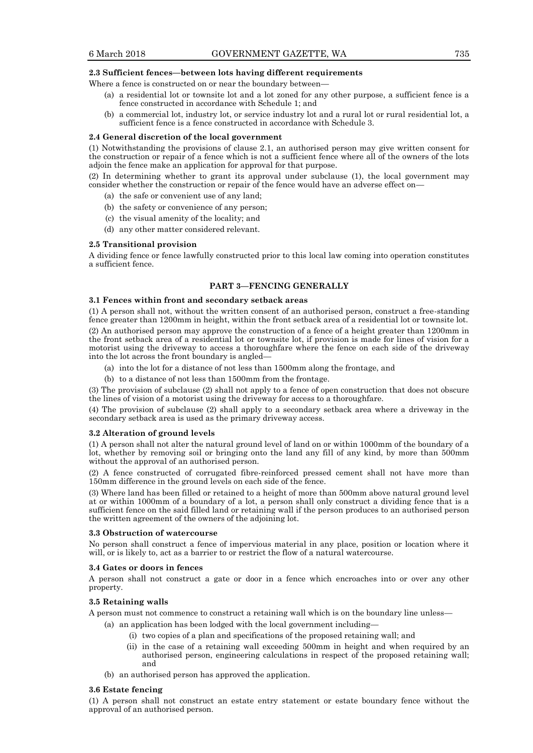#### **2.3 Sufficient fences—between lots having different requirements**

Where a fence is constructed on or near the boundary between—

- (a) a residential lot or townsite lot and a lot zoned for any other purpose, a sufficient fence is a fence constructed in accordance with Schedule 1; and
- (b) a commercial lot, industry lot, or service industry lot and a rural lot or rural residential lot, a sufficient fence is a fence constructed in accordance with Schedule 3.

#### **2.4 General discretion of the local government**

(1) Notwithstanding the provisions of clause 2.1, an authorised person may give written consent for the construction or repair of a fence which is not a sufficient fence where all of the owners of the lots adjoin the fence make an application for approval for that purpose.

(2) In determining whether to grant its approval under subclause (1), the local government may consider whether the construction or repair of the fence would have an adverse effect on—

- (a) the safe or convenient use of any land;
- (b) the safety or convenience of any person;
- (c) the visual amenity of the locality; and
- (d) any other matter considered relevant.

#### **2.5 Transitional provision**

A dividing fence or fence lawfully constructed prior to this local law coming into operation constitutes a sufficient fence.

#### **PART 3—FENCING GENERALLY**

#### **3.1 Fences within front and secondary setback areas**

(1) A person shall not, without the written consent of an authorised person, construct a free-standing fence greater than 1200mm in height, within the front setback area of a residential lot or townsite lot.

(2) An authorised person may approve the construction of a fence of a height greater than 1200mm in the front setback area of a residential lot or townsite lot, if provision is made for lines of vision for a motorist using the driveway to access a thoroughfare where the fence on each side of the driveway into the lot across the front boundary is angled—

- (a) into the lot for a distance of not less than 1500mm along the frontage, and
- (b) to a distance of not less than 1500mm from the frontage.

(3) The provision of subclause (2) shall not apply to a fence of open construction that does not obscure the lines of vision of a motorist using the driveway for access to a thoroughfare.

(4) The provision of subclause (2) shall apply to a secondary setback area where a driveway in the secondary setback area is used as the primary driveway access.

#### **3.2 Alteration of ground levels**

(1) A person shall not alter the natural ground level of land on or within 1000mm of the boundary of a lot, whether by removing soil or bringing onto the land any fill of any kind, by more than 500mm without the approval of an authorised person.

(2) A fence constructed of corrugated fibre-reinforced pressed cement shall not have more than 150mm difference in the ground levels on each side of the fence.

(3) Where land has been filled or retained to a height of more than 500mm above natural ground level at or within 1000mm of a boundary of a lot, a person shall only construct a dividing fence that is a sufficient fence on the said filled land or retaining wall if the person produces to an authorised person the written agreement of the owners of the adjoining lot.

#### **3.3 Obstruction of watercourse**

No person shall construct a fence of impervious material in any place, position or location where it will, or is likely to, act as a barrier to or restrict the flow of a natural watercourse.

#### **3.4 Gates or doors in fences**

A person shall not construct a gate or door in a fence which encroaches into or over any other property.

#### **3.5 Retaining walls**

A person must not commence to construct a retaining wall which is on the boundary line unless—

- (a) an application has been lodged with the local government including—
	- (i) two copies of a plan and specifications of the proposed retaining wall; and
	- (ii) in the case of a retaining wall exceeding 500mm in height and when required by an authorised person, engineering calculations in respect of the proposed retaining wall; and
- (b) an authorised person has approved the application.

#### **3.6 Estate fencing**

(1) A person shall not construct an estate entry statement or estate boundary fence without the approval of an authorised person.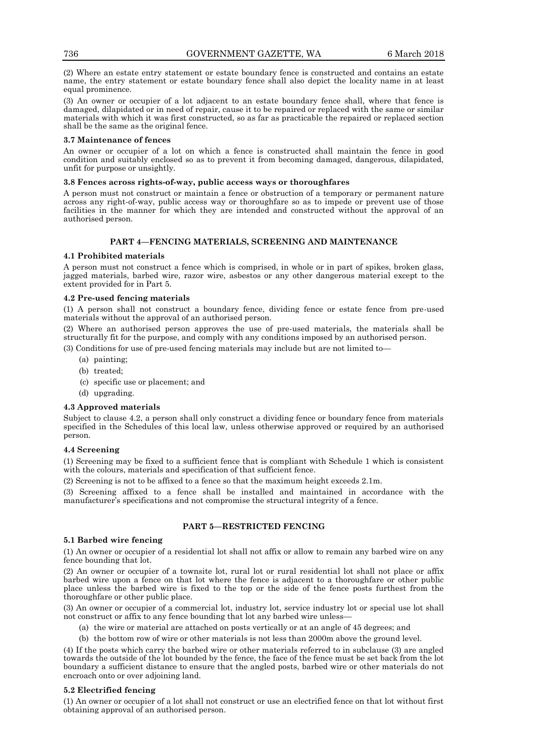(2) Where an estate entry statement or estate boundary fence is constructed and contains an estate name, the entry statement or estate boundary fence shall also depict the locality name in at least equal prominence.

(3) An owner or occupier of a lot adjacent to an estate boundary fence shall, where that fence is damaged, dilapidated or in need of repair, cause it to be repaired or replaced with the same or similar materials with which it was first constructed, so as far as practicable the repaired or replaced section shall be the same as the original fence.

#### **3.7 Maintenance of fences**

An owner or occupier of a lot on which a fence is constructed shall maintain the fence in good condition and suitably enclosed so as to prevent it from becoming damaged, dangerous, dilapidated, unfit for purpose or unsightly.

#### **3.8 Fences across rights-of-way, public access ways or thoroughfares**

A person must not construct or maintain a fence or obstruction of a temporary or permanent nature across any right-of-way, public access way or thoroughfare so as to impede or prevent use of those facilities in the manner for which they are intended and constructed without the approval of an authorised person.

# **PART 4—FENCING MATERIALS, SCREENING AND MAINTENANCE**

#### **4.1 Prohibited materials**

A person must not construct a fence which is comprised, in whole or in part of spikes, broken glass, jagged materials, barbed wire, razor wire, asbestos or any other dangerous material except to the extent provided for in Part 5.

#### **4.2 Pre-used fencing materials**

(1) A person shall not construct a boundary fence, dividing fence or estate fence from pre-used materials without the approval of an authorised person.

(2) Where an authorised person approves the use of pre-used materials, the materials shall be structurally fit for the purpose, and comply with any conditions imposed by an authorised person.

(3) Conditions for use of pre-used fencing materials may include but are not limited to—

- (a) painting;
- (b) treated;
- (c) specific use or placement; and
- (d) upgrading.

#### **4.3 Approved materials**

Subject to clause 4.2, a person shall only construct a dividing fence or boundary fence from materials specified in the Schedules of this local law, unless otherwise approved or required by an authorised person.

#### **4.4 Screening**

(1) Screening may be fixed to a sufficient fence that is compliant with Schedule 1 which is consistent with the colours, materials and specification of that sufficient fence.

(2) Screening is not to be affixed to a fence so that the maximum height exceeds 2.1m.

(3) Screening affixed to a fence shall be installed and maintained in accordance with the manufacturer's specifications and not compromise the structural integrity of a fence.

## **PART 5—RESTRICTED FENCING**

#### **5.1 Barbed wire fencing**

(1) An owner or occupier of a residential lot shall not affix or allow to remain any barbed wire on any fence bounding that lot.

(2) An owner or occupier of a townsite lot, rural lot or rural residential lot shall not place or affix barbed wire upon a fence on that lot where the fence is adjacent to a thoroughfare or other public place unless the barbed wire is fixed to the top or the side of the fence posts furthest from the thoroughfare or other public place.

(3) An owner or occupier of a commercial lot, industry lot, service industry lot or special use lot shall not construct or affix to any fence bounding that lot any barbed wire unless—

- (a) the wire or material are attached on posts vertically or at an angle of 45 degrees; and
- (b) the bottom row of wire or other materials is not less than 2000m above the ground level.

(4) If the posts which carry the barbed wire or other materials referred to in subclause (3) are angled towards the outside of the lot bounded by the fence, the face of the fence must be set back from the lot boundary a sufficient distance to ensure that the angled posts, barbed wire or other materials do not encroach onto or over adjoining land.

# **5.2 Electrified fencing**

(1) An owner or occupier of a lot shall not construct or use an electrified fence on that lot without first obtaining approval of an authorised person.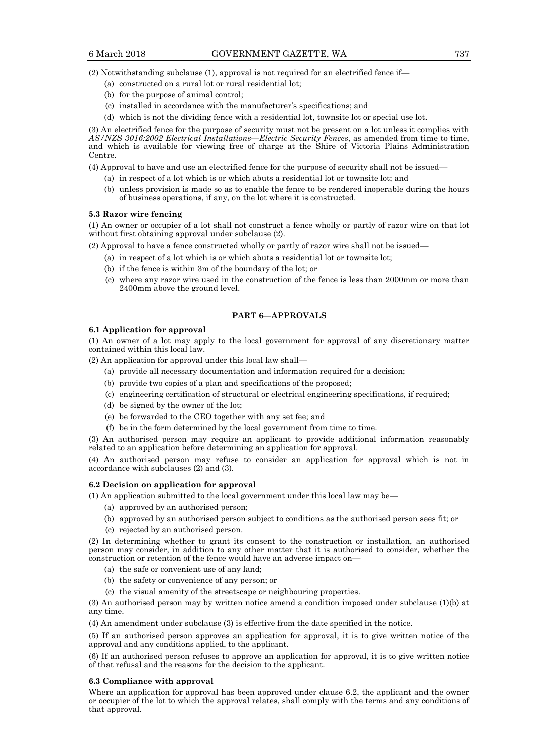(2) Notwithstanding subclause (1), approval is not required for an electrified fence if—

- (a) constructed on a rural lot or rural residential lot;
- (b) for the purpose of animal control;
- (c) installed in accordance with the manufacturer's specifications; and
- (d) which is not the dividing fence with a residential lot, townsite lot or special use lot.

(3) An electrified fence for the purpose of security must not be present on a lot unless it complies with *AS/NZS 3016:2002 Electrical Installations—Electric Security Fences*, as amended from time to time, and which is available for viewing free of charge at the Shire of Victoria Plains Administration Centre.

- (4) Approval to have and use an electrified fence for the purpose of security shall not be issued—
	- (a) in respect of a lot which is or which abuts a residential lot or townsite lot; and
	- (b) unless provision is made so as to enable the fence to be rendered inoperable during the hours of business operations, if any, on the lot where it is constructed.

#### **5.3 Razor wire fencing**

(1) An owner or occupier of a lot shall not construct a fence wholly or partly of razor wire on that lot without first obtaining approval under subclause (2).

- (2) Approval to have a fence constructed wholly or partly of razor wire shall not be issued—
	- (a) in respect of a lot which is or which abuts a residential lot or townsite lot;
	- (b) if the fence is within 3m of the boundary of the lot; or
	- (c) where any razor wire used in the construction of the fence is less than 2000mm or more than 2400mm above the ground level.

#### **PART 6—APPROVALS**

#### **6.1 Application for approval**

(1) An owner of a lot may apply to the local government for approval of any discretionary matter contained within this local law.

(2) An application for approval under this local law shall—

- (a) provide all necessary documentation and information required for a decision;
- (b) provide two copies of a plan and specifications of the proposed;
- (c) engineering certification of structural or electrical engineering specifications, if required;
- (d) be signed by the owner of the lot;
- (e) be forwarded to the CEO together with any set fee; and
- (f) be in the form determined by the local government from time to time.

(3) An authorised person may require an applicant to provide additional information reasonably related to an application before determining an application for approval.

(4) An authorised person may refuse to consider an application for approval which is not in accordance with subclauses (2) and (3).

#### **6.2 Decision on application for approval**

(1) An application submitted to the local government under this local law may be—

- (a) approved by an authorised person;
- (b) approved by an authorised person subject to conditions as the authorised person sees fit; or
- (c) rejected by an authorised person.

(2) In determining whether to grant its consent to the construction or installation, an authorised person may consider, in addition to any other matter that it is authorised to consider, whether the construction or retention of the fence would have an adverse impact on—

- (a) the safe or convenient use of any land;
- (b) the safety or convenience of any person; or
- (c) the visual amenity of the streetscape or neighbouring properties.

(3) An authorised person may by written notice amend a condition imposed under subclause (1)(b) at any time.

(4) An amendment under subclause (3) is effective from the date specified in the notice.

(5) If an authorised person approves an application for approval, it is to give written notice of the approval and any conditions applied, to the applicant.

(6) If an authorised person refuses to approve an application for approval, it is to give written notice of that refusal and the reasons for the decision to the applicant.

#### **6.3 Compliance with approval**

Where an application for approval has been approved under clause 6.2, the applicant and the owner or occupier of the lot to which the approval relates, shall comply with the terms and any conditions of that approval.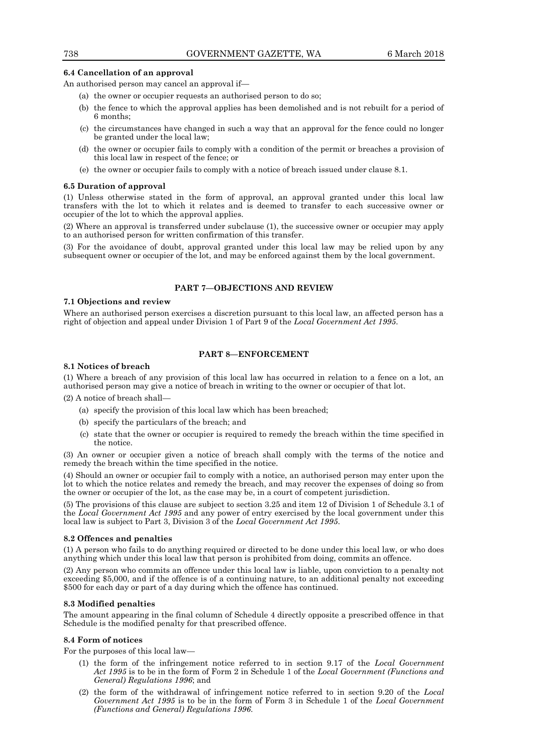#### **6.4 Cancellation of an approval**

An authorised person may cancel an approval if—

- (a) the owner or occupier requests an authorised person to do so;
- (b) the fence to which the approval applies has been demolished and is not rebuilt for a period of 6 months;
- (c) the circumstances have changed in such a way that an approval for the fence could no longer be granted under the local law;
- (d) the owner or occupier fails to comply with a condition of the permit or breaches a provision of this local law in respect of the fence; or
- (e) the owner or occupier fails to comply with a notice of breach issued under clause 8.1.

#### **6.5 Duration of approval**

(1) Unless otherwise stated in the form of approval, an approval granted under this local law transfers with the lot to which it relates and is deemed to transfer to each successive owner or occupier of the lot to which the approval applies.

(2) Where an approval is transferred under subclause (1), the successive owner or occupier may apply to an authorised person for written confirmation of this transfer.

(3) For the avoidance of doubt, approval granted under this local law may be relied upon by any subsequent owner or occupier of the lot, and may be enforced against them by the local government.

#### **PART 7—OBJECTIONS AND REVIEW**

# **7.1 Objections and review**

Where an authorised person exercises a discretion pursuant to this local law, an affected person has a right of objection and appeal under Division 1 of Part 9 of the *Local Government Act 1995*.

#### **PART 8—ENFORCEMENT**

#### **8.1 Notices of breach**

(1) Where a breach of any provision of this local law has occurred in relation to a fence on a lot, an authorised person may give a notice of breach in writing to the owner or occupier of that lot.

(2) A notice of breach shall—

- (a) specify the provision of this local law which has been breached;
- (b) specify the particulars of the breach; and
- (c) state that the owner or occupier is required to remedy the breach within the time specified in the notice.

(3) An owner or occupier given a notice of breach shall comply with the terms of the notice and remedy the breach within the time specified in the notice.

(4) Should an owner or occupier fail to comply with a notice, an authorised person may enter upon the lot to which the notice relates and remedy the breach, and may recover the expenses of doing so from the owner or occupier of the lot, as the case may be, in a court of competent jurisdiction.

(5) The provisions of this clause are subject to section 3.25 and item 12 of Division 1 of Schedule 3.1 of the *Local Government Act 1995* and any power of entry exercised by the local government under this local law is subject to Part 3, Division 3 of the *Local Government Act 1995*.

#### **8.2 Offences and penalties**

(1) A person who fails to do anything required or directed to be done under this local law, or who does anything which under this local law that person is prohibited from doing, commits an offence.

(2) Any person who commits an offence under this local law is liable, upon conviction to a penalty not exceeding \$5,000, and if the offence is of a continuing nature, to an additional penalty not exceeding \$500 for each day or part of a day during which the offence has continued.

#### **8.3 Modified penalties**

The amount appearing in the final column of Schedule 4 directly opposite a prescribed offence in that Schedule is the modified penalty for that prescribed offence.

#### **8.4 Form of notices**

For the purposes of this local law—

- (1) the form of the infringement notice referred to in section 9.17 of the *Local Government Act 1995* is to be in the form of Form 2 in Schedule 1 of the *Local Government (Functions and General) Regulations 1996*; and
- (2) the form of the withdrawal of infringement notice referred to in section 9.20 of the *Local Government Act 1995* is to be in the form of Form 3 in Schedule 1 of the *Local Government (Functions and General) Regulations 1996*.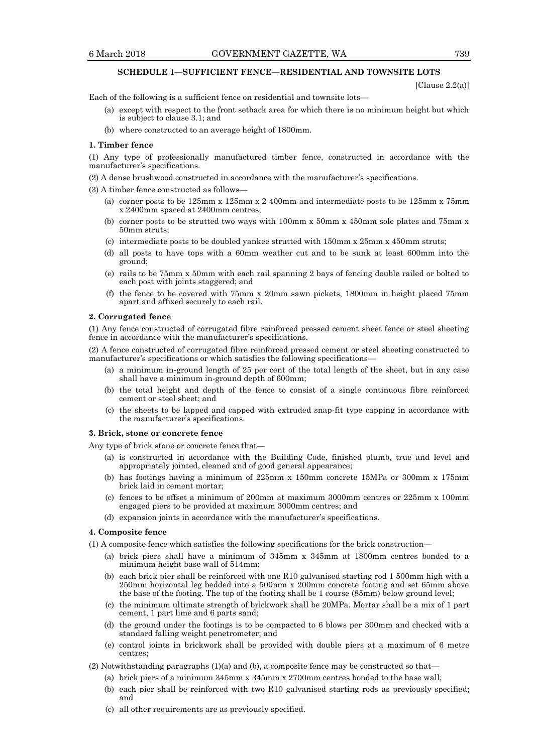#### **SCHEDULE 1—SUFFICIENT FENCE—RESIDENTIAL AND TOWNSITE LOTS**

[Clause 2.2(a)]

Each of the following is a sufficient fence on residential and townsite lots—

- (a) except with respect to the front setback area for which there is no minimum height but which is subject to clause 3.1; and
- (b) where constructed to an average height of 1800mm.

#### **1. Timber fence**

(1) Any type of professionally manufactured timber fence, constructed in accordance with the manufacturer's specifications.

(2) A dense brushwood constructed in accordance with the manufacturer's specifications.

(3) A timber fence constructed as follows—

- (a) corner posts to be 125mm x 125mm x 2 400mm and intermediate posts to be 125mm x 75mm x 2400mm spaced at 2400mm centres;
- (b) corner posts to be strutted two ways with 100mm x 50mm x 450mm sole plates and 75mm x 50mm struts;
- (c) intermediate posts to be doubled yankee strutted with 150mm x 25mm x 450mm struts;
- (d) all posts to have tops with a 60mm weather cut and to be sunk at least 600mm into the ground;
- (e) rails to be 75mm x 50mm with each rail spanning 2 bays of fencing double railed or bolted to each post with joints staggered; and
- (f) the fence to be covered with 75mm x 20mm sawn pickets, 1800mm in height placed 75mm apart and affixed securely to each rail.

#### **2. Corrugated fence**

(1) Any fence constructed of corrugated fibre reinforced pressed cement sheet fence or steel sheeting fence in accordance with the manufacturer's specifications.

(2) A fence constructed of corrugated fibre reinforced pressed cement or steel sheeting constructed to manufacturer's specifications or which satisfies the following specifications—

- (a) a minimum in-ground length of 25 per cent of the total length of the sheet, but in any case shall have a minimum in-ground depth of 600mm;
- (b) the total height and depth of the fence to consist of a single continuous fibre reinforced cement or steel sheet; and
- (c) the sheets to be lapped and capped with extruded snap-fit type capping in accordance with the manufacturer's specifications.

#### **3. Brick, stone or concrete fence**

Any type of brick stone or concrete fence that—

- (a) is constructed in accordance with the Building Code, finished plumb, true and level and appropriately jointed, cleaned and of good general appearance;
- (b) has footings having a minimum of 225mm x 150mm concrete 15MPa or 300mm x 175mm brick laid in cement mortar;
- (c) fences to be offset a minimum of 200mm at maximum 3000mm centres or 225mm x 100mm engaged piers to be provided at maximum 3000mm centres; and
- (d) expansion joints in accordance with the manufacturer's specifications.

### **4. Composite fence**

(1) A composite fence which satisfies the following specifications for the brick construction—

- (a) brick piers shall have a minimum of 345mm x 345mm at 1800mm centres bonded to a minimum height base wall of 514mm;
- (b) each brick pier shall be reinforced with one R10 galvanised starting rod 1 500mm high with a 250mm horizontal leg bedded into a 500mm x 200mm concrete footing and set 65mm above the base of the footing. The top of the footing shall be 1 course (85mm) below ground level;
- (c) the minimum ultimate strength of brickwork shall be 20MPa. Mortar shall be a mix of 1 part cement, 1 part lime and 6 parts sand;
- (d) the ground under the footings is to be compacted to 6 blows per 300mm and checked with a standard falling weight penetrometer; and
- (e) control joints in brickwork shall be provided with double piers at a maximum of 6 metre centres;
- $(2)$  Notwithstanding paragraphs  $(1)(a)$  and  $(b)$ , a composite fence may be constructed so that—
	- (a) brick piers of a minimum 345mm x 345mm x 2700mm centres bonded to the base wall;
	- (b) each pier shall be reinforced with two R10 galvanised starting rods as previously specified; and
	- (c) all other requirements are as previously specified.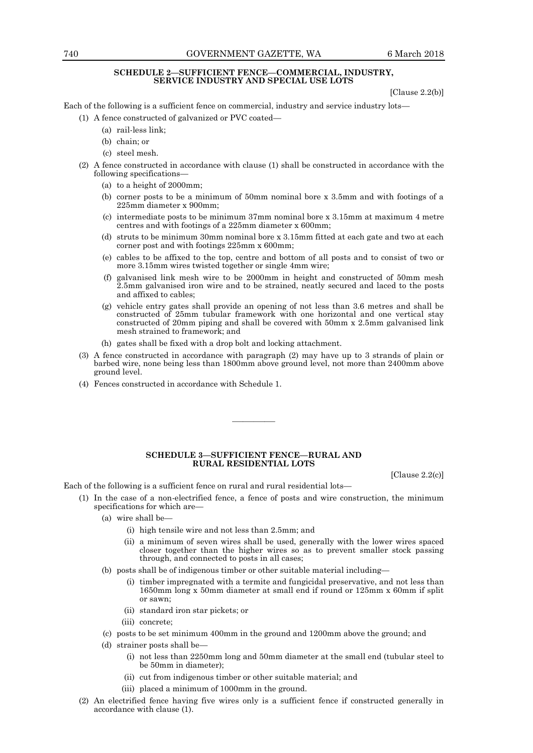#### **SCHEDULE 2—SUFFICIENT FENCE—COMMERCIAL, INDUSTRY, SERVICE INDUSTRY AND SPECIAL USE LOTS**

[Clause 2.2(b)]

Each of the following is a sufficient fence on commercial, industry and service industry lots—

- (1) A fence constructed of galvanized or PVC coated—
	- (a) rail-less link;
	- (b) chain; or
	- (c) steel mesh.
- (2) A fence constructed in accordance with clause (1) shall be constructed in accordance with the following specifications—
	- (a) to a height of 2000mm;
	- (b) corner posts to be a minimum of 50mm nominal bore x 3.5mm and with footings of a 225mm diameter x 900mm;
	- (c) intermediate posts to be minimum 37mm nominal bore x 3.15mm at maximum 4 metre centres and with footings of a 225mm diameter x 600mm;
	- (d) struts to be minimum 30mm nominal bore x 3.15mm fitted at each gate and two at each corner post and with footings 225mm x 600mm;
	- (e) cables to be affixed to the top, centre and bottom of all posts and to consist of two or more 3.15mm wires twisted together or single 4mm wire;
	- (f) galvanised link mesh wire to be 2000mm in height and constructed of 50mm mesh 2.5mm galvanised iron wire and to be strained, neatly secured and laced to the posts and affixed to cables;
	- (g) vehicle entry gates shall provide an opening of not less than 3.6 metres and shall be constructed of 25mm tubular framework with one horizontal and one vertical stay constructed of 20mm piping and shall be covered with 50mm x 2.5mm galvanised link mesh strained to framework; and
	- (h) gates shall be fixed with a drop bolt and locking attachment.
- (3) A fence constructed in accordance with paragraph (2) may have up to 3 strands of plain or barbed wire, none being less than 1800mm above ground level, not more than 2400mm above ground level.
- (4) Fences constructed in accordance with Schedule 1.

#### **SCHEDULE 3—SUFFICIENT FENCE—RURAL AND RURAL RESIDENTIAL LOTS**

————

[Clause 2.2(c)]

Each of the following is a sufficient fence on rural and rural residential lots—

- (1) In the case of a non-electrified fence, a fence of posts and wire construction, the minimum specifications for which are—
	- (a) wire shall be—
		- (i) high tensile wire and not less than 2.5mm; and
		- (ii) a minimum of seven wires shall be used, generally with the lower wires spaced closer together than the higher wires so as to prevent smaller stock passing through, and connected to posts in all cases;
	- (b) posts shall be of indigenous timber or other suitable material including—
		- (i) timber impregnated with a termite and fungicidal preservative, and not less than 1650mm long x 50mm diameter at small end if round or 125mm x 60mm if split or sawn;
		- (ii) standard iron star pickets; or
		- (iii) concrete;
	- (c) posts to be set minimum 400mm in the ground and 1200mm above the ground; and
	- (d) strainer posts shall be—
		- (i) not less than 2250mm long and 50mm diameter at the small end (tubular steel to be 50mm in diameter);
		- (ii) cut from indigenous timber or other suitable material; and
		- (iii) placed a minimum of 1000mm in the ground.
- (2) An electrified fence having five wires only is a sufficient fence if constructed generally in accordance with clause (1).